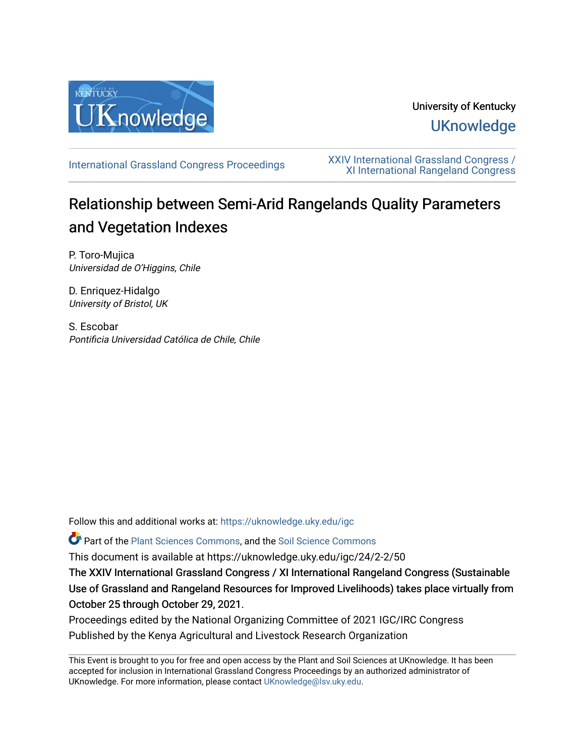

# University of Kentucky **UKnowledge**

[International Grassland Congress Proceedings](https://uknowledge.uky.edu/igc) [XXIV International Grassland Congress /](https://uknowledge.uky.edu/igc/24)  [XI International Rangeland Congress](https://uknowledge.uky.edu/igc/24) 

# Relationship between Semi-Arid Rangelands Quality Parameters and Vegetation Indexes

P. Toro-Mujica Universidad de O'Higgins, Chile

D. Enriquez-Hidalgo University of Bristol, UK

S. Escobar Pontificia Universidad Católica de Chile, Chile

Follow this and additional works at: [https://uknowledge.uky.edu/igc](https://uknowledge.uky.edu/igc?utm_source=uknowledge.uky.edu%2Figc%2F24%2F2-2%2F50&utm_medium=PDF&utm_campaign=PDFCoverPages) 

Part of the [Plant Sciences Commons](http://network.bepress.com/hgg/discipline/102?utm_source=uknowledge.uky.edu%2Figc%2F24%2F2-2%2F50&utm_medium=PDF&utm_campaign=PDFCoverPages), and the [Soil Science Commons](http://network.bepress.com/hgg/discipline/163?utm_source=uknowledge.uky.edu%2Figc%2F24%2F2-2%2F50&utm_medium=PDF&utm_campaign=PDFCoverPages) 

This document is available at https://uknowledge.uky.edu/igc/24/2-2/50

The XXIV International Grassland Congress / XI International Rangeland Congress (Sustainable Use of Grassland and Rangeland Resources for Improved Livelihoods) takes place virtually from October 25 through October 29, 2021.

Proceedings edited by the National Organizing Committee of 2021 IGC/IRC Congress Published by the Kenya Agricultural and Livestock Research Organization

This Event is brought to you for free and open access by the Plant and Soil Sciences at UKnowledge. It has been accepted for inclusion in International Grassland Congress Proceedings by an authorized administrator of UKnowledge. For more information, please contact [UKnowledge@lsv.uky.edu](mailto:UKnowledge@lsv.uky.edu).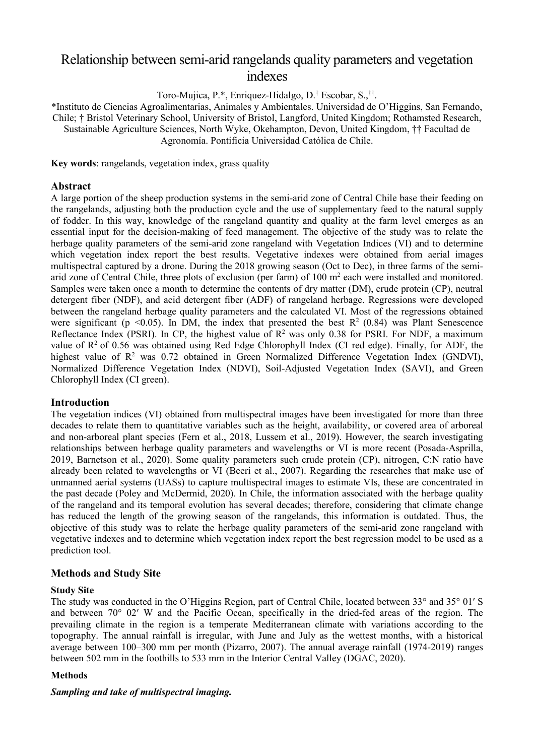## Relationship between semi-arid rangelands quality parameters and vegetation indexes

Toro-Mujica, P.\*, Enriquez-Hidalgo, D.† Escobar, S.,†† .

\*Instituto de Ciencias Agroalimentarias, Animales y Ambientales. Universidad de O'Higgins, San Fernando, Chile; † Bristol Veterinary School, University of Bristol, Langford, United Kingdom; Rothamsted Research, Sustainable Agriculture Sciences, North Wyke, Okehampton, Devon, United Kingdom, †† Facultad de Agronomía. Pontificia Universidad Católica de Chile.

**Key words**: rangelands, vegetation index, grass quality

#### **Abstract**

A large portion of the sheep production systems in the semi-arid zone of Central Chile base their feeding on the rangelands, adjusting both the production cycle and the use of supplementary feed to the natural supply of fodder. In this way, knowledge of the rangeland quantity and quality at the farm level emerges as an essential input for the decision-making of feed management. The objective of the study was to relate the herbage quality parameters of the semi-arid zone rangeland with Vegetation Indices (VI) and to determine which vegetation index report the best results. Vegetative indexes were obtained from aerial images multispectral captured by a drone. During the 2018 growing season (Oct to Dec), in three farms of the semiarid zone of Central Chile, three plots of exclusion (per farm) of  $100 \text{ m}^2$  each were installed and monitored. Samples were taken once a month to determine the contents of dry matter (DM), crude protein (CP), neutral detergent fiber (NDF), and acid detergent fiber (ADF) of rangeland herbage. Regressions were developed between the rangeland herbage quality parameters and the calculated VI. Most of the regressions obtained were significant (p <0.05). In DM, the index that presented the best  $R^2$  (0.84) was Plant Senescence Reflectance Index (PSRI). In CP, the highest value of  $R^2$  was only 0.38 for PSRI. For NDF, a maximum value of  $R<sup>2</sup>$  of 0.56 was obtained using Red Edge Chlorophyll Index (CI red edge). Finally, for ADF, the highest value of  $\mathbb{R}^2$  was 0.72 obtained in Green Normalized Difference Vegetation Index (GNDVI), Normalized Difference Vegetation Index (NDVI), Soil-Adjusted Vegetation Index (SAVI), and Green Chlorophyll Index (CI green).

#### **Introduction**

The vegetation indices (VI) obtained from multispectral images have been investigated for more than three decades to relate them to quantitative variables such as the height, availability, or covered area of arboreal and non-arboreal plant species (Fern et al., 2018, Lussem et al., 2019). However, the search investigating relationships between herbage quality parameters and wavelengths or VI is more recent (Posada-Asprilla, 2019, Barnetson et al., 2020). Some quality parameters such crude protein (CP), nitrogen, C:N ratio have already been related to wavelengths or VI (Beeri et al., 2007). Regarding the researches that make use of unmanned aerial systems (UASs) to capture multispectral images to estimate VIs, these are concentrated in the past decade (Poley and McDermid, 2020). In Chile, the information associated with the herbage quality of the rangeland and its temporal evolution has several decades; therefore, considering that climate change has reduced the length of the growing season of the rangelands, this information is outdated. Thus, the objective of this study was to relate the herbage quality parameters of the semi-arid zone rangeland with vegetative indexes and to determine which vegetation index report the best regression model to be used as a prediction tool.

## **Methods and Study Site**

#### **Study Site**

The study was conducted in the O'Higgins Region, part of Central Chile, located between 33° and 35° 01′ S and between 70° 02′ W and the Pacific Ocean, specifically in the dried-fed areas of the region. The prevailing climate in the region is a temperate Mediterranean climate with variations according to the topography. The annual rainfall is irregular, with June and July as the wettest months, with a historical average between 100–300 mm per month (Pizarro, 2007). The annual average rainfall (1974-2019) ranges between 502 mm in the foothills to 533 mm in the Interior Central Valley (DGAC, 2020).

#### **Methods**

### *Sampling and take of multispectral imaging.*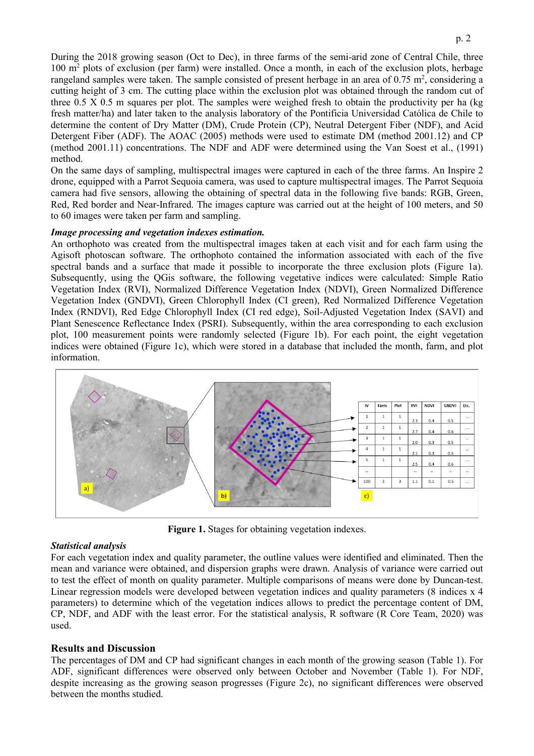During the 2018 growing season (Oct to Dec), in three farms of the semi-arid zone of Central Chile, three 100 m2 plots of exclusion (per farm) were installed. Once a month, in each of the exclusion plots, herbage rangeland samples were taken. The sample consisted of present herbage in an area of  $0.75 \text{ m}^2$ , considering a cutting height of 3 cm. The cutting place within the exclusion plot was obtained through the random cut of three 0.5 X 0.5 m squares per plot. The samples were weighed fresh to obtain the productivity per ha (kg fresh matter/ha) and later taken to the analysis laboratory of the Pontificia Universidad Católica de Chile to determine the content of Dry Matter (DM), Crude Protein (CP), Neutral Detergent Fiber (NDF), and Acid Detergent Fiber (ADF). The AOAC (2005) methods were used to estimate DM (method 2001.12) and CP (method 2001.11) concentrations. The NDF and ADF were determined using the Van Soest et al., (1991) method.

On the same days of sampling, multispectral images were captured in each of the three farms. An Inspire 2 drone, equipped with a Parrot Sequoia camera, was used to capture multispectral images. The Parrot Sequoia camera had five sensors, allowing the obtaining of spectral data in the following five bands: RGB, Green, Red, Red border and Near-Infrared. The images capture was carried out at the height of 100 meters, and 50 to 60 images were taken per farm and sampling.

#### *Image processing and vegetation indexes estimation.*

An orthophoto was created from the multispectral images taken at each visit and for each farm using the Agisoft photoscan software. The orthophoto contained the information associated with each of the five spectral bands and a surface that made it possible to incorporate the three exclusion plots (Figure 1a). Subsequently, using the QGis software, the following vegetative indices were calculated: Simple Ratio Vegetation Index (RVI), Normalized Difference Vegetation Index (NDVI), Green Normalized Difference Vegetation Index (GNDVI), Green Chlorophyll Index (CI green), Red Normalized Difference Vegetation Index (RNDVI), Red Edge Chlorophyll Index (CI red edge), Soil-Adjusted Vegetation Index (SAVI) and Plant Senescence Reflectance Index (PSRI). Subsequently, within the area corresponding to each exclusion plot, 100 measurement points were randomly selected (Figure 1b). For each point, the eight vegetation indices were obtained (Figure 1c), which were stored in a database that included the month, farm, and plot information.



**Figure 1.** Stages for obtaining vegetation indexes.

#### *Statistical analysis*

For each vegetation index and quality parameter, the outline values were identified and eliminated. Then the mean and variance were obtained, and dispersion graphs were drawn. Analysis of variance were carried out to test the effect of month on quality parameter. Multiple comparisons of means were done by Duncan-test. Linear regression models were developed between vegetation indices and quality parameters (8 indices x 4 parameters) to determine which of the vegetation indices allows to predict the percentage content of DM, CP, NDF, and ADF with the least error. For the statistical analysis, R software (R Core Team, 2020) was used.

#### **Results and Discussion**

The percentages of DM and CP had significant changes in each month of the growing season (Table 1). For ADF, significant differences were observed only between October and November (Table 1). For NDF, despite increasing as the growing season progresses (Figure 2c), no significant differences were observed between the months studied.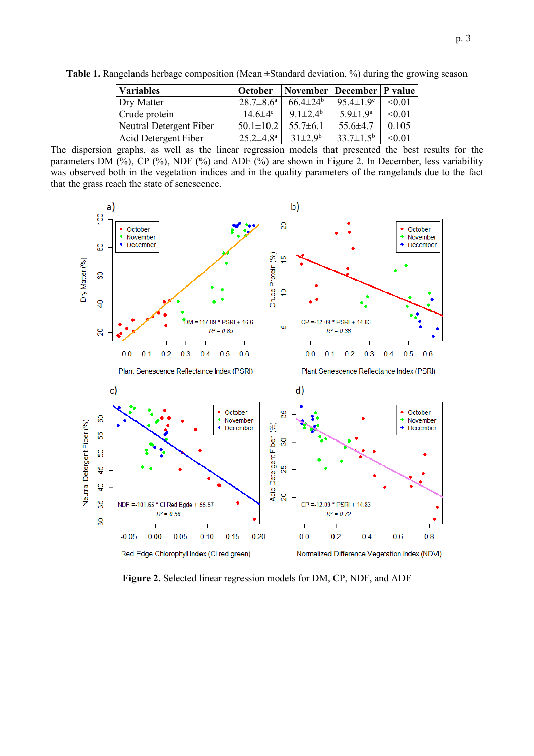| <b>Variables</b>        | <b>October</b>         | November   December   P value |                           |        |
|-------------------------|------------------------|-------------------------------|---------------------------|--------|
| Dry Matter              | $28.7 \pm 8.6^{\circ}$ | $66.4 \pm 24^b$               | 95.4 $\pm$ 1.9 $\text{°}$ | < 0.01 |
| Crude protein           | $14.6\pm4^{\circ}$     | $9.1 \pm 2.4^{\rm b}$         | $5.9 \pm 1.9^{\rm a}$     | < 0.01 |
| Neutral Detergent Fiber | $50.1 \pm 10.2$        | $55.7 \pm 6.1$                | $55.6 \pm 4.7$            | 0.105  |
| Acid Detergent Fiber    | $25.2 \pm 4.8^{\circ}$ | $31 \pm 2.9^b$                | $33.7 \pm 1.5^{\rm b}$    | < 0.01 |

**Table 1.** Rangelands herbage composition (Mean ±Standard deviation, %) during the growing season

The dispersion graphs, as well as the linear regression models that presented the best results for the parameters DM (%), CP (%), NDF (%) and ADF (%) are shown in Figure 2. In December, less variability was observed both in the vegetation indices and in the quality parameters of the rangelands due to the fact that the grass reach the state of senescence.



**Figure 2.** Selected linear regression models for DM, CP, NDF, and ADF